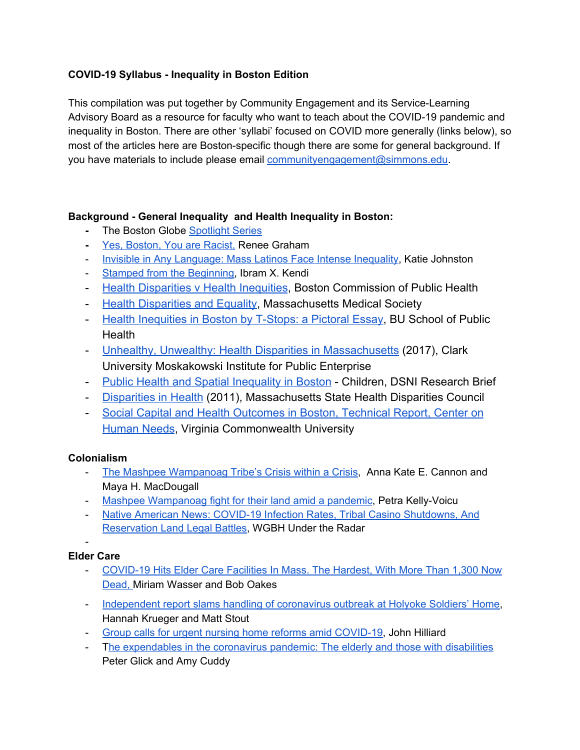## **COVID-19 Syllabus - Inequality in Boston Edition**

This compilation was put together by Community Engagement and its Service-Learning Advisory Board as a resource for faculty who want to teach about the COVID-19 pandemic and inequality in Boston. There are other 'syllabi' focused on COVID more generally (links below), so most of the articles here are Boston-specific though there are some for general background. If you have materials to include please email [communityengagement@simmons.edu.](mailto:communityengagement@simmons.edu)

### **Background - General Inequality and Health Inequality in Boston:**

- **-** The Boston Globe [Spotlight](https://apps.bostonglobe.com/spotlight/boston-racism-image-reality/) Series
- **-** Yes, [Boston,](https://www.bostonglobe.com/opinion/2017/03/28/yes-boston-you-are-racist/yMd7u1evwC5g6XhGAHMdyH/story.html) You are Racist, Renee Graham
- Invisible in Any [Language:](http://www0.bostonglobe.com/business/2018/03/08/invisible-any-language-mass-latinos-face-intense-inequality/Wp7mUPBWFLNXMtpAUNEYGL/story.html?p1=Article_Related_Box_Article_More) Mass Latinos Face Intense Inequality, Katie Johnston
- Stamped from the [Beginning,](https://ezproxy.simmons.edu/login?url=https://search.ebscohost.com/login.aspx?direct=true&db=cat01806a&AN=sim.b2211135&site=eds-live&scope=site) Ibram X. Kendi
- [Health Disparities v Health Inequities](https://www.bphc.org/whatwedo/health-equity-social-justice/what-is-health-equity/Pages/Health-Disparities-vs.-Health-Inequities.aspx), Boston Commission of Public Health
- [Health Disparities and Equality,](http://www.massmed.org/Patient-Care/Health-Topics/Health-Disparities-and-Equity/Health-Disparities-and-Equity/#.XqMZrJNKj_Q) Massachusetts Medical Society
- [Health Inequities in Boston by T-Stops: a Pictoral Essay,](https://www.bu.edu/sph/2015/03/29/health-of-a-city-health-inequalities-in-boston-by-t-stops-a-pictorial-essay/) BU School of Public **Health**
- [Unhealthy, Unwealthy: Health Disparities in Massachusetts](https://www.purdue.edu/hhs/hdfs/fii/wp-content/uploads/2018/04/Unhealthy-Unwealthy-Family_Impact_Seminar_2017-briefing-report.pdf) (2017), Clark University Moskakowski Institute for Public Enterprise
- [Public Health and Spatial Inequality in Boston](https://www.dsni.org/s/DSNI-Public-Health-and-Spatial-Inequality-Asthma-2011-Jennings-and-Barboza.pdf) Children, DSNI Research Brief
- [Disparities in Health](https://www.mass.gov/files/documents/2016/08/qz/disparities-in-health-2011.pdf) (2011), Massachusetts State Health Disparities Council
- [Social Capital and Health Outcomes in Boston, Technical Report, Center on](https://societyhealth.vcu.edu/media/society-health/pdf/PMReport_Boston.pdf) [Human Needs](https://societyhealth.vcu.edu/media/society-health/pdf/PMReport_Boston.pdf), Virginia Commonwealth University

### **Colonialism**

- The Mashpee [Wampanoag](https://www.thecrimson.com/article/2020/4/17/mashpee-wampanoag-scrutiny/) Tribe's Crisis within a Crisis, Anna Kate E. Cannon and Maya H. MacDougall
- Mashpee [Wampanoag](https://indypendent.org/2020/04/their-ancestors-greeted-the-pilgrims-now-the-mashpee-wampanoag-fight-for-their-land-amid-a-pandemic/) fight for their land amid a pandemic, Petra Kelly-Voicu
- Native American News: COVID-19 Infection Rates, Tribal Casino [Shutdowns,](https://www.wgbh.org/news/national-news/2020/06/05/native-american-news-covid-19-infection-rates-tribal-casino-shutdowns-and-reservation-land-legal-battles) And [Reservation](https://www.wgbh.org/news/national-news/2020/06/05/native-american-news-covid-19-infection-rates-tribal-casino-shutdowns-and-reservation-land-legal-battles) Land Legal Battles, WGBH Under the Radar

-

# **Elder Care**

- [COVID-19](https://www.wbur.org/commonhealth/2020/04/24/seniors-coronavirus-nursing-homes-testing) Hits Elder Care Facilities In Mass. The Hardest, With More Than 1,300 Now [Dead,](https://www.wbur.org/commonhealth/2020/04/24/seniors-coronavirus-nursing-homes-testing) Miriam [Wasser](https://www.wbur.org/inside/staff/miriam-wasser) and Bob [Oakes](https://www.wbur.org/inside/staff/bob-oakes)
- [Independent](https://www.bostonglobe.com/2020/06/24/metro/independent-report-slams-handling-coronavirus-outbreak-holyoke-soldiers-home/) report slams handling of coronavirus outbreak at Holyoke Soldiers' Home, Hannah Krueger and Matt Stout
- Group calls for urgent nursing home reforms amid [COVID-19](https://www.bostonglobe.com/2020/06/28/metro/group-calls-urgent-nursing-home-reforms-amid-covid-19/), John Hilliard
- The [expendables](https://www.bostonglobe.com/2020/04/24/opinion/expendables-coronavirus-pandemic-elderly-those-with-disabilities/) in the coronavirus pandemic: The elderly and those with disabilities Peter Glick and Amy Cuddy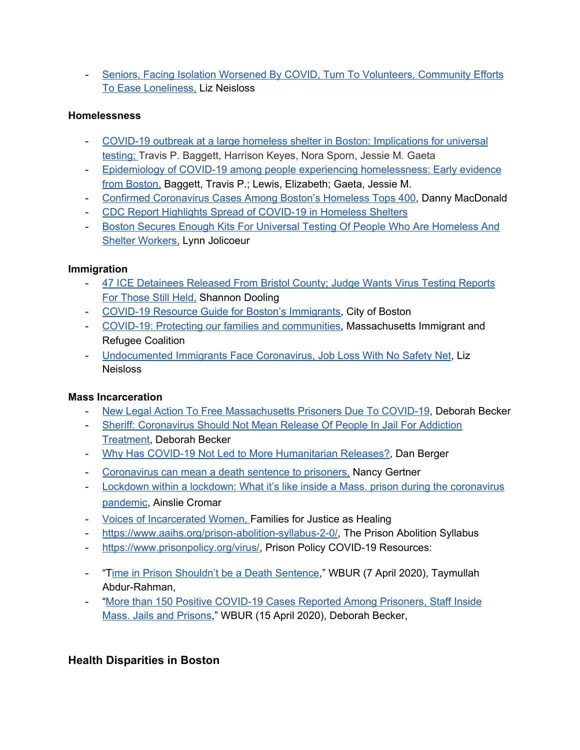- Seniors, Facing Isolation Worsened By COVID, Turn To [Volunteers,](https://www.wgbh.org/news/local-news/2020/05/12/seniors-facing-isolation-worsened-by-covid-turn-to-volunteers-community-efforts-to-ease-loneliness) Community Efforts To Ease [Loneliness,](https://www.wgbh.org/news/local-news/2020/05/12/seniors-facing-isolation-worsened-by-covid-turn-to-volunteers-community-efforts-to-ease-loneliness) Liz Neisloss

#### **Homelessness**

- COVID-19 outbreak at a large homeless shelter in Boston: [Implications](https://www.medrxiv.org/content/10.1101/2020.04.12.20059618v1) for universal [testing;](https://www.medrxiv.org/content/10.1101/2020.04.12.20059618v1) Travis P. Baggett, Harrison Keyes, Nora Sporn, Jessie M. Gaeta
- Epidemiology of COVID-19 among people experiencing [homelessness:](https://deepblue.lib.umich.edu/handle/2027.42/154734) Early evidence from [Boston,](https://deepblue.lib.umich.edu/handle/2027.42/154734) Baggett, Travis P.; Lewis, Elizabeth; Gaeta, Jessie M.
- Confirmed [Coronavirus](https://www.bostonglobe.com/2020/04/22/metro/confirmed-coronavirus-cases-among-bostons-homeless-tops-400/) Cases Among Boston's Homeless Tops 400, Danny MacDonald
- CDC Report Highlights Spread of [COVID-19](https://www.boston25news.com/news/health/cdc-report-highlights-spread-covid-19-homeless-shelters/QM2TTY2GWFEWHGY2B6WLC3EEYU/) in Homeless Shelters
- Boston Secures Enough Kits For Universal Testing Of People Who Are [Homeless](https://www.wbur.org/news/2020/04/24/boston-universal-testing-homeless-shelters) And Shelter [Workers,](https://www.wbur.org/news/2020/04/24/boston-universal-testing-homeless-shelters) Lynn [Jolicoeur](https://www.wbur.org/inside/staff/lynn-jolicoeur)

#### **Immigration**

- 47 ICE [Detainees](https://www.wbur.org/news/2020/04/24/47-ice-detainees-released-from-bristol-county-judge-wants-reports-on-testing-among-those-remaining) Released From Bristol County; Judge Wants Virus Testing Reports For [Those](https://www.wbur.org/news/2020/04/24/47-ice-detainees-released-from-bristol-county-judge-wants-reports-on-testing-among-those-remaining) Still Held, [Shannon](https://www.wbur.org/inside/staff/shannon-dooling) Dooling
- COVID-19 Resource Guide for Boston's [Immigrants,](https://www.boston.gov/news/covid-19-resource-guide-bostons-immigrants) City of Boston
- COVID-19: Protecting our families and [communities,](https://www.miracoalition.org/resources/covid19/) Massachusetts Immigrant and Refugee Coalition
- [Undocumented](https://www.wgbh.org/news/local-news/2020/03/26/undocumented-immigrants-face-coronavirus-job-loss-with-no-safety-net) Immigrants Face Coronavirus, Job Loss With No Safety Net, Liz Neisloss

### **Mass Incarceration**

- New Legal Action To Free [Massachusetts](https://www.wbur.org/commonhealth/2020/04/17/massachusetts-jail-prison-covid-19-coronavirus) Prisoners Due To COVID-19, [Deborah](https://www.wbur.org/inside/staff/deborah-becker) Becker
- Sheriff: [Coronavirus](https://www.wbur.org/commonhealth/2020/04/23/sheriff-jail-addiction-treatment-coronavirus) Should Not Mean Release Of People In Jail For Addiction [Treatment](https://www.wbur.org/commonhealth/2020/04/23/sheriff-jail-addiction-treatment-coronavirus), [Deborah](https://www.wbur.org/inside/staff/deborah-becker) Becker
- Why Has COVID-19 Not Led to More [Humanitarian](http://bostonreview.net/race/dan-berger-jalil-muntaqim-carceral-state) Releases?, Dan Berger
- [Coronavirus](https://www.bostonglobe.com/2020/05/05/opinion/coronavirus-can-mean-death-sentence-prisoners/) can mean a death sentence to prisoners, Nancy Gertner
- Lockdown within a lockdown: What it's like inside a Mass. prison during the [coronavirus](https://www.boston.com/news/coronavirus/2020/06/02/mass-prison-coronavirus-pandemic) [pandemic,](https://www.boston.com/news/coronavirus/2020/06/02/mass-prison-coronavirus-pandemic) Ainslie Cromar
- Voices of [Incarcerated](https://justiceashealing.org/covid-19/) Women, Families for Justice as Healing
- [https://www.aaihs.org/prison-abolition-syllabus-2-0/,](https://www.aaihs.org/prison-abolition-syllabus-2-0/) The Prison Abolition Syllabus
- <https://www.prisonpolicy.org/virus/>, Prison Policy COVID-19 Resources:
- "Time in Prison Shouldn't be a Death [Sentence,](https://www.wbur.org/cognoscenti/2020/04/07/prison-covid-19-grant-clemency-taymullah)" WBUR (7 April 2020), Taymullah Abdur-Rahman,
- "More than 150 Positive [COVID-19](https://www.wbur.org/news/2020/04/15/jails-prisons-latest-coronavirus-cases-mtc) Cases Reported Among Prisoners, Staff Inside Mass. Jails and [Prisons,](https://www.wbur.org/news/2020/04/15/jails-prisons-latest-coronavirus-cases-mtc)" WBUR (15 April 2020), Deborah Becker,

# **Health Disparities in Boston**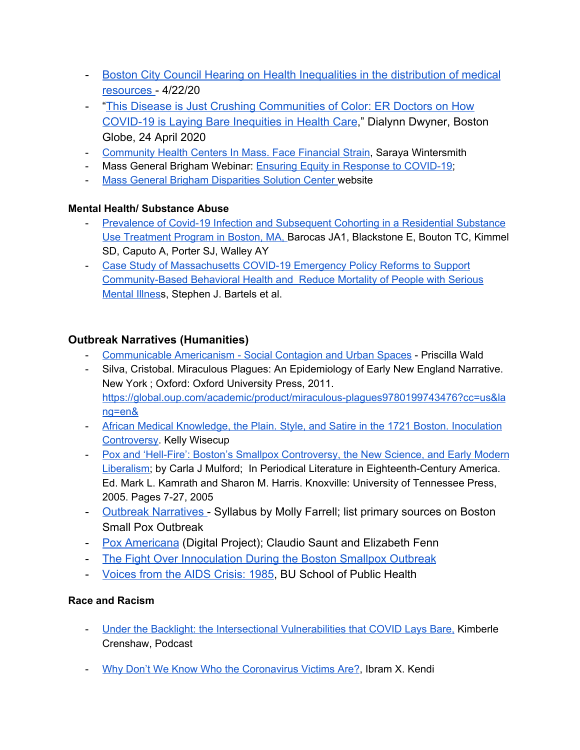- [Boston City Council Hearing on Health Inequalities in the distribution of medical](https://www.youtube.com/watch?v=wRdZFOK3euE&fbclid=IwAR3JNB1UEfok7ky2lIUdu88hMq1mdRRm2D67U0bDGYTj6qQm_NYpsxQczCA) [resources](https://www.youtube.com/watch?v=wRdZFOK3euE&fbclid=IwAR3JNB1UEfok7ky2lIUdu88hMq1mdRRm2D67U0bDGYTj6qQm_NYpsxQczCA) - 4/22/20
- "[This Disease is Just Crushing Communities of Color: ER Doctors on How](https://www.boston.com/news/coronavirus/2020/04/24/health-inequities-coronavirus-massachusetts) [COVID-19 is Laying Bare Inequities in Health Care](https://www.boston.com/news/coronavirus/2020/04/24/health-inequities-coronavirus-massachusetts)," Dialynn Dwyner, Boston Globe, 24 April 2020
- [Community](https://www.wgbh.org/news/local-news/2020/04/06/community-health-centers-in-mass-face-financial-strain) Health Centers In Mass. Face Financial Strain, Saraya Wintersmith
- Mass General Brigham Webinar: **Ensuring Equity in Response to COVID-19**;
- Mass General Brigham [Disparities](https://www.mghdisparitiessolutions.org/covid-19) Solution Center website

## **Mental Health/ Substance Abuse**

- Prevalence of Covid-19 Infection and [Subsequent](https://europepmc.org/article/med/32530889) Cohorting in a Residential Substance Use [Treatment](https://europepmc.org/article/med/32530889) Program in Boston, MA, [Barocas](https://europepmc.org/search?query=AUTH:%22Joshua%20A%20Barocas%22) JA1, [Blackstone](https://europepmc.org/search?query=AUTH:%22Elizabeth%20Blackstone%22) E, [Bouton](https://europepmc.org/search?query=AUTH:%22Tara%20C%20Bouton%22) TC, [Kimmel](https://europepmc.org/search?query=AUTH:%22Simeon%20D%20Kimmel%22) [SD](https://europepmc.org/search?query=AUTH:%22Simeon%20D%20Kimmel%22), [Caputo](https://europepmc.org/search?query=AUTH:%22Andrea%20Caputo%22) A, [Porter](https://europepmc.org/search?query=AUTH:%22Sarah%20J%20Porter%22) SJ, [Walley](https://europepmc.org/search?query=AUTH:%22Alexander%20Y%20Walley%22) AY
- Case Study of [Massachusetts](https://ps.psychiatryonline.org/pb-assets/journals/ps/homepage/Case%20Study%20of%20Massachusetts%20COVID-19%20Emergency%20Policy%20Reforms%20to%20Support%20Community-based%20Behavioral%20Health%20and%20Reduce%20Mortality%20of%20People%20with%20Serious%20Mental%20Illness.pdf) COVID-19 Emergency Policy Reforms to Support [Community-Based](https://ps.psychiatryonline.org/pb-assets/journals/ps/homepage/Case%20Study%20of%20Massachusetts%20COVID-19%20Emergency%20Policy%20Reforms%20to%20Support%20Community-based%20Behavioral%20Health%20and%20Reduce%20Mortality%20of%20People%20with%20Serious%20Mental%20Illness.pdf) Behavioral Health and Reduce Mortality of People with Serious [Mental](https://ps.psychiatryonline.org/pb-assets/journals/ps/homepage/Case%20Study%20of%20Massachusetts%20COVID-19%20Emergency%20Policy%20Reforms%20to%20Support%20Community-based%20Behavioral%20Health%20and%20Reduce%20Mortality%20of%20People%20with%20Serious%20Mental%20Illness.pdf) Illness, Stephen J. Bartels et al.

# **Outbreak Narratives (Humanities)**

- [Communicable](https://watermark.silverchair.com/9780822390572-004.pdf?token=AQECAHi208BE49Ooan9kkhW_Ercy7Dm3ZL_9Cf3qfKAc485ysgAAAhUwggIRBgkqhkiG9w0BBwagggICMIIB_gIBADCCAfcGCSqGSIb3DQEHATAeBglghkgBZQMEAS4wEQQMExynP5hl0mXDFSY0AgEQgIIByHEMGF_U7zjjub9uCHL56tF74CnH1yV18sDfG2ZjlK1SftevsN9CCP_zNFaJ9Cj2mTSP2IYbrSXjE4lSmX1J2yMxone2bSswZxS0DZDj2IwGrjwQTOU9rzkKUIKFZVA5rV-LCAK0yoXbW-LBpeLZR-ah9e4sXQ8iJQjcVtF9BeQaF7Bapt-tRjIkfL8hrkU73CnP3RIlUM5c5QHWAE8eBKpGqerrLuA8a4H1S-2I9u78zhGJXUhjeK5FFR_iyccPiE3UcyDF9SubL8NmNd-1Pto2WZsKdszizM2PJsmUKUcP8Po6vyHYjcMOtwBeKxoJVmMcOL6Uxr1phjXpp5xcDS8TuGCjuG7WCNvj3ytQh_UPynTMVyM38p-9xwTn_ziRZ_yY1lN9eIzF1etjhHDvfu3Wm9TWdIJTxKNXZomc_Efj7Cl9CV1zzfHxmz5Kiz1o28Sj-ezzaVQAZkLhK-mXCkuj8mM1aJ5wsk0gDg-vFhLf_Mut0xDU6442-af_MwGOuQYkc1274-pILUKdhZf-fdUQWyVVA4nbwVmZymaNnaV98vfhfKYPUIpY6zJHTHCO7ykIWc7xDoKE9yPiOKd2TwzsNOINJg9BBg) Americanism Social Contagion and Urban Spaces Priscilla Wald
- Silva, Cristobal. Miraculous Plagues: An Epidemiology of Early New England Narrative. New York ; Oxford: Oxford University Press, 2011. [https://global.oup.com/academic/product/miraculous-plagues9780199743476?cc=us&la](https://global.oup.com/academic/product/miraculous-plagues9780199743476?cc=us&lang=en&) [ng=en&](https://global.oup.com/academic/product/miraculous-plagues9780199743476?cc=us&lang=en&)
- African Medical [Knowledge,](https://www.jstor.org/stable/25800130?seq=1#metadata_info_tab_contents) the Plain. Style, and Satire in the 1721 Boston. Inoculation [Controversy](https://www.jstor.org/stable/25800130?seq=1#metadata_info_tab_contents). Kelly Wisecup
- Pox and 'Hell-Fire': Boston's Smallpox [Controversy,](https://www.academia.edu/3374857/Pox_and_Hell-Fire_Boston_s_Smallpox_Controversy_the_New_Science_and_Early_Modern_Liberalism) the New Science, and Early Modern [Liberalism](https://www.academia.edu/3374857/Pox_and_Hell-Fire_Boston_s_Smallpox_Controversy_the_New_Science_and_Early_Modern_Liberalism); by Carla J Mulford; In Periodical Literature in Eighteenth-Century America. Ed. Mark L. Kamrath and Sharon M. Harris. Knoxville: University of Tennessee Press, 2005. Pages 7-27, 2005
- [Outbreak Narratives -](https://docs.google.com/document/d/18dl5yXdHwGQh9WzAlA7WMp1TQKIgKjnFuTtuk__HFB4/edit) Syllabus by Molly Farrell; list primary sources on Boston Small Pox Outbreak
- [Pox Americana](https://www.arcgis.com/apps/webappviewer/index.html?id=2c94e981a6c6485ab0e26bb680e0b063) (Digital Project); Claudio Saunt and Elizabeth Fenn
- [The Fight Over Innoculation During the Boston Smallpox Outbreak](http://sitn.hms.harvard.edu/flash/special-edition-on-infectious-disease/2014/the-fight-over-inoculation-during-the-1721-boston-smallpox-epidemic/)
- [Voices from the AIDS Crisis: 1985,](https://www.bu.edu/sph/news-events/signature-programs/deans-seminars/1985-voices-from-the-aids-crisis/) BU School of Public Health

# **Race and Racism**

- Under the Backlight: the Intersectional [Vulnerabilities](https://aapf.org/under-the-blacklight-covid19) that COVID Lays Bare, Kimberle Crenshaw, Podcast
- Why Don't We Know Who the [Coronavirus](https://www.theatlantic.com/ideas/archive/2020/04/stop-looking-away-race-covid-19-victims/609250/?fbclid=IwAR0cHQqofwwsvL-J0BJ1fKDfzQ_UQ4Wxuz_l3M5LJILu6gjlfa_C9ymhhSI) Victims Are?, Ibram X. Kendi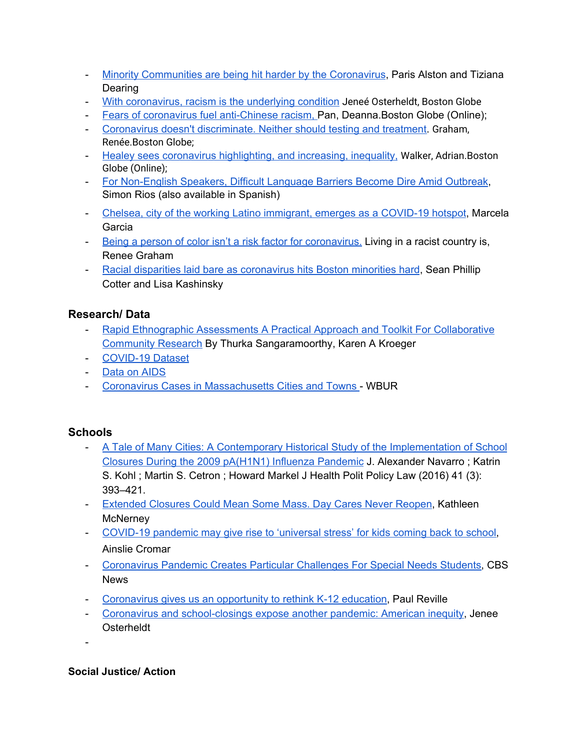- Minority [Communities](https://www.wbur.org/radioboston/2020/04/07/minority-communities-coronavirus) are being hit harder by the Coronavirus, Paris Alston and Tiziana Dearing
- With [coronavirus,](https://ezproxy.simmons.edu/login?url=https://search-proquest-com.ezproxy.simmons.edu/docview/2388126430?accountid=13870) racism is the underlying condition [Jeneé](https://search-proquest-com.ezproxy.simmons.edu/bostonglobe/indexinglinkhandler/sng/au/Osterheldt,+Jene$e9/$N?accountid=13870) Osterheldt, [Boston Globe](https://search-proquest-com.ezproxy.simmons.edu/bostonglobe/pubidlinkhandler/sng/pubtitle/Boston+Globe+$28Online$29/$N/2040590/DocView/2388126430/fulltext/45BDEE9C71E24A1CPQ/1?accountid=13870)
- Fears of coronavirus fuel [anti-Chinese](https://ezproxy.simmons.edu/login?url=https://search-proquest-com.ezproxy.simmons.edu/docview/2348496549?accountid=13870) racism, Pan, [Deanna.](https://search-proquest-com.ezproxy.simmons.edu/bostonglobe/indexinglinkhandler/sng/au/Pan,+Deanna/$N?accountid=13870)Boston Globe [\(Online\);](https://search-proquest-com.ezproxy.simmons.edu/bostonglobe/pubidlinkhandler/sng/pubtitle/Boston+Globe+$28Online$29/$N/2040590/DocView/2348496549/fulltext/45BDEE9C71E24A1CPQ/4?accountid=13870)
- Coronavirus doesn't [discriminate.](https://ezproxy.simmons.edu/login?url=https://search-proquest-com.ezproxy.simmons.edu/docview/2383874853?accountid=13870) Neither should testing and treatment. [Graham,](https://search-proquest-com.ezproxy.simmons.edu/bostonglobe/indexinglinkhandler/sng/au/Graham,+Ren$e9e/$N?accountid=13870) [Renée.](https://search-proquest-com.ezproxy.simmons.edu/bostonglobe/indexinglinkhandler/sng/au/Graham,+Ren$e9e/$N?accountid=13870)[Boston Globe](https://search-proquest-com.ezproxy.simmons.edu/bostonglobe/pubidlinkhandler/sng/pubtitle/Boston+Globe/$N/46045/DocView/2383874853/fulltext/45BDEE9C71E24A1CPQ/2?accountid=13870);
- Healey sees coronavirus [highlighting,](https://ezproxy.simmons.edu/login?url=https://search-proquest-com.ezproxy.simmons.edu/docview/2391511842?accountid=13870) and increasing, inequality, [Walker, Adrian](https://search-proquest-com.ezproxy.simmons.edu/bostonglobe/indexinglinkhandler/sng/au/Walker,+Adrian/$N?accountid=13870)[.Boston](https://search-proquest-com.ezproxy.simmons.edu/bostonglobe/pubidlinkhandler/sng/pubtitle/Boston+Globe+$28Online$29/$N/2040590/DocView/2391511842/fulltext/B54E3F46B5CF4235PQ/1?accountid=13870) [Globe \(Online\);](https://search-proquest-com.ezproxy.simmons.edu/bostonglobe/pubidlinkhandler/sng/pubtitle/Boston+Globe+$28Online$29/$N/2040590/DocView/2391511842/fulltext/B54E3F46B5CF4235PQ/1?accountid=13870)
- For [Non-English](https://www.wbur.org/news/2020/04/07/coronavirus-translation-problems) Speakers, Difficult Language Barriers Become Dire Amid Outbreak, Simon Rios (also available in Spanish)
- Chelsea, city of the working Latino [immigrant,](https://www.bostonglobe.com/2020/04/07/opinion/chelsea-city-working-latino-immigrant-emerges-covid-19-hotspot/) emerges as a COVID-19 hotspot, Marcela Garcia
- Being a person of color isn't a risk factor for [coronavirus.](https://www.bostonglobe.com/2020/04/10/opinion/being-person-color-isnt-risk-factor-coronavirus-living-racist-country-is/) Living in a racist country is, Renee Graham
- Racial disparities laid bare as [coronavirus](https://www.bostonherald.com/2020/04/11/racial-disparities-laid-bare-as-coronavirus-hits-boston-minorities-hard/) hits Boston minorities hard, Sean Phillip Cotter and Lisa Kashinsky

# **Research/ Data**

- Rapid Ethnographic [Assessments](https://www.routledge.com/Rapid-Ethnographic-Assessments-A-Practical-Approach-and-Toolkit-For-Collaborative/Sangaramoorthy-Kroeger/p/book/9780367252298) A Practical Approach and Toolkit For Collaborative [Community](https://www.routledge.com/Rapid-Ethnographic-Assessments-A-Practical-Approach-and-Toolkit-For-Collaborative/Sangaramoorthy-Kroeger/p/book/9780367252298) Research By Thurka [Sangaramoorthy](https://www.routledge.com/search?author=Thurka%20Sangaramoorthy), Karen A [Kroeger](https://www.routledge.com/search?author=Karen%20A%20Kroeger)
- [COVID-19](https://pages.semanticscholar.org/coronavirus-research) Dataset
- Data on [AIDS](https://aidsvu.org/local-data/united-states/northeast/massachusetts/)
- Coronavirus Cases in [Massachusetts](https://www.wbur.org/commonhealth/2020/04/16/coronavirus-cases-by-city-and-town-in-massachusetts) Cities and Towns WBUR

# **Schools**

- A Tale of Many Cities: A Contemporary Historical Study of the [Implementation](https://read.dukeupress.edu/jhppl/article/41/3/393/13825/A-Tale-of-Many-Cities-A-Contemporary-Historical) of School Closures During the 2009 [pA\(H1N1\)](https://read.dukeupress.edu/jhppl/article/41/3/393/13825/A-Tale-of-Many-Cities-A-Contemporary-Historical) Influenza Pandemic J. Alexander Navarro ; Katrin S. Kohl ; Martin S. Cetron ; Howard Markel J Health Polit Policy Law (2016) 41 (3): 393–421.
- [Extended](https://www.wbur.org/edify/2020/04/23/day-cares-closed-coronavirus-reopen) Closures Could Mean Some Mass. Day Cares Never Reopen, [Kathleen](https://www.wbur.org/inside/staff/kathleen-mcnerney) **[McNerney](https://www.wbur.org/inside/staff/kathleen-mcnerney)**
- [COVID-19](https://www.boston.com/news/education/2020/06/19/covid-19-pandemic-may-give-rise-to-universal-stress-for-kids-coming-back-to-school) pandemic may give rise to 'universal stress' for kids coming back to school, Ainslie Cromar
- [Coronavirus](https://boston.cbslocal.com/2020/05/18/coronavirus-pandemic-virtual-learning-challenges-special-needs-students/) Pandemic Creates Particular Challenges For Special Needs Students, CBS News
- [Coronavirus](https://www.bostonglobe.com/2020/04/09/opinion/coronavirus-gives-us-an-opportunity-rethink-k-12-education/) gives us an opportunity to rethink K-12 education, Paul Reville
- Coronavirus and [school-closings](https://www.bostonglobe.com/2020/03/13/nation/coronavirus-school-closings-expose-another-pandemic-american-inequity/) expose another pandemic: American inequity, Jenee Osterheldt

-

### **Social Justice/ Action**